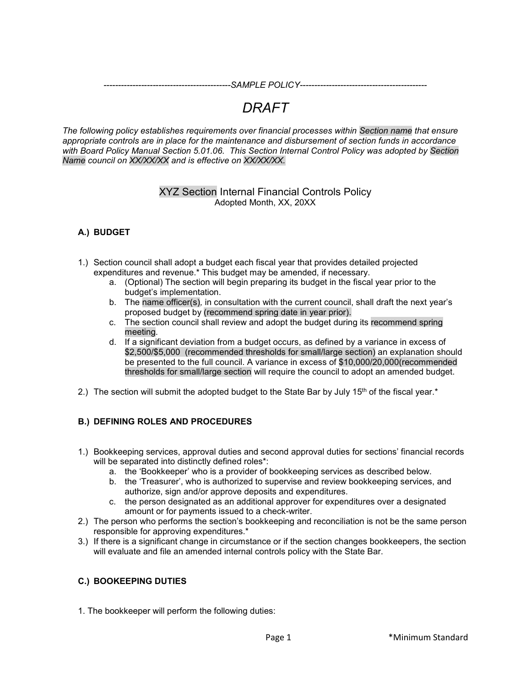*--------------------------------------------SAMPLE POLICY--------------------------------------------*

# *DRAFT*

*The following policy establishes requirements over financial processes within Section name that ensure appropriate controls are in place for the maintenance and disbursement of section funds in accordance with Board Policy Manual Section 5.01.06. This Section Internal Control Policy was adopted by Section Name council on XX/XX/XX and is effective on XX/XX/XX.*

## XYZ Section Internal Financial Controls Policy Adopted Month, XX, 20XX

## **A.) BUDGET**

- 1.) Section council shall adopt a budget each fiscal year that provides detailed projected expenditures and revenue.\* This budget may be amended, if necessary.
	- a. (Optional) The section will begin preparing its budget in the fiscal year prior to the budget's implementation.
	- b. The name officer(s)*,* in consultation with the current council, shall draft the next year's proposed budget by (recommend spring date in year prior).
	- c. The section council shall review and adopt the budget during its recommend spring meeting.
	- d. If a significant deviation from a budget occurs, as defined by a variance in excess of \$2,500/\$5,000 (recommended thresholds for small/large section) an explanation should be presented to the full council. A variance in excess of \$10,000/20,000(recommended thresholds for small/large section will require the council to adopt an amended budget.
- 2.) The section will submit the adopted budget to the State Bar by July  $15<sup>th</sup>$  of the fiscal year. $*$

## **B.) DEFINING ROLES AND PROCEDURES**

- 1.) Bookkeeping services, approval duties and second approval duties for sections' financial records will be separated into distinctly defined roles\*:
	- a. the 'Bookkeeper' who is a provider of bookkeeping services as described below.
	- b. the 'Treasurer', who is authorized to supervise and review bookkeeping services, and authorize, sign and/or approve deposits and expenditures.
	- c. the person designated as an additional approver for expenditures over a designated amount or for payments issued to a check-writer.
- 2.) The person who performs the section's bookkeeping and reconciliation is not be the same person responsible for approving expenditures.\*
- 3.) If there is a significant change in circumstance or if the section changes bookkeepers, the section will evaluate and file an amended internal controls policy with the State Bar.

## **C.) BOOKEEPING DUTIES**

1. The bookkeeper will perform the following duties: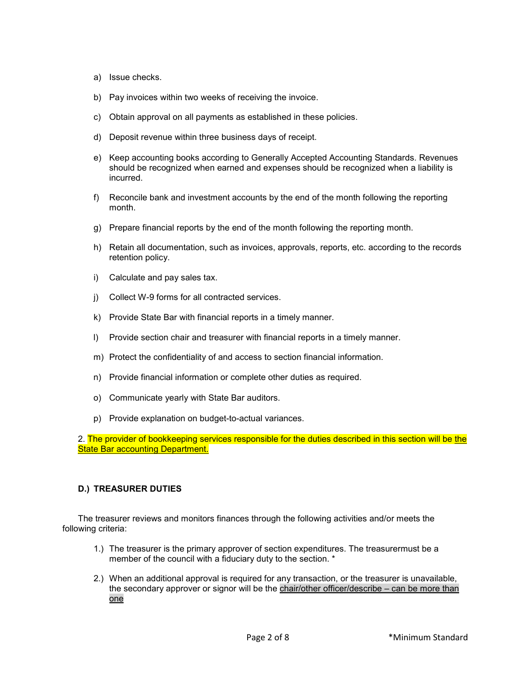- a) Issue checks.
- b) Pay invoices within two weeks of receiving the invoice.
- c) Obtain approval on all payments as established in these policies.
- d) Deposit revenue within three business days of receipt.
- e) Keep accounting books according to Generally Accepted Accounting Standards. Revenues should be recognized when earned and expenses should be recognized when a liability is incurred.
- f) Reconcile bank and investment accounts by the end of the month following the reporting month.
- g) Prepare financial reports by the end of the month following the reporting month.
- h) Retain all documentation, such as invoices, approvals, reports, etc. according to the records retention policy.
- i) Calculate and pay sales tax.
- j) Collect W-9 forms for all contracted services.
- k) Provide State Bar with financial reports in a timely manner.
- l) Provide section chair and treasurer with financial reports in a timely manner.
- m) Protect the confidentiality of and access to section financial information.
- n) Provide financial information or complete other duties as required.
- o) Communicate yearly with State Bar auditors.
- p) Provide explanation on budget-to-actual variances.

2. The provider of bookkeeping services responsible for the duties described in this section will be the **State Bar accounting Department.** 

#### **D.) TREASURER DUTIES**

The treasurer reviews and monitors finances through the following activities and/or meets the following criteria:

- 1.) The treasurer is the primary approver of section expenditures. The treasurermust be a member of the council with a fiduciary duty to the section. \*
- 2.) When an additional approval is required for any transaction, or the treasurer is unavailable, the secondary approver or signor will be the chair/other officer/describe – can be more than one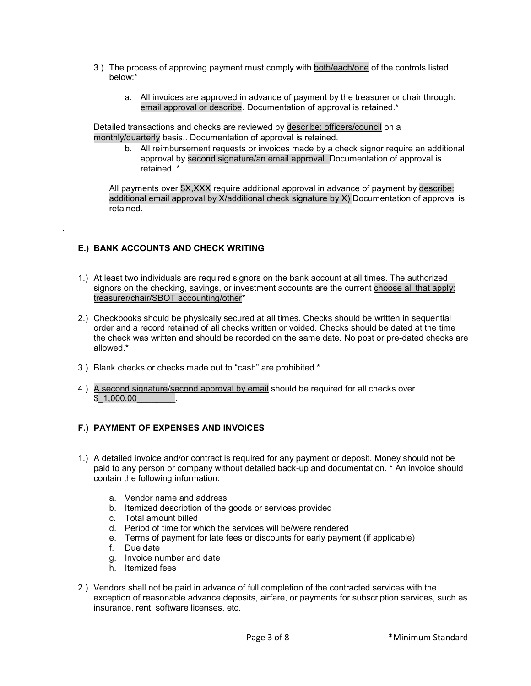- 3.) The process of approving payment must comply with both/each/one of the controls listed below:\*
	- a. All invoices are approved in advance of payment by the treasurer or chair through: email approval or describe. Documentation of approval is retained.\*

Detailed transactions and checks are reviewed by describe: officers/council on a monthly/quarterly basis.. Documentation of approval is retained.

b. All reimbursement requests or invoices made by a check signor require an additional approval by second signature/an email approval. Documentation of approval is retained. \*

All payments over \$X,XXX require additional approval in advance of payment by describe: additional email approval by X/additional check signature by X) Documentation of approval is retained.

## **E.) BANK ACCOUNTS AND CHECK WRITING**

.

- 1.) At least two individuals are required signors on the bank account at all times. The authorized signors on the checking, savings, or investment accounts are the current choose all that apply: treasurer/chair/SBOT accounting/other\*
- 2.) Checkbooks should be physically secured at all times. Checks should be written in sequential order and a record retained of all checks written or voided. Checks should be dated at the time the check was written and should be recorded on the same date. No post or pre-dated checks are allowed.\*
- 3.) Blank checks or checks made out to "cash" are prohibited.\*
- 4.) A second signature/second approval by email should be required for all checks over  $$1,000.00$

#### **F.) PAYMENT OF EXPENSES AND INVOICES**

- 1.) A detailed invoice and/or contract is required for any payment or deposit. Money should not be paid to any person or company without detailed back-up and documentation. \* An invoice should contain the following information:
	- a. Vendor name and address
	- b. Itemized description of the goods or services provided
	- c. Total amount billed
	- d. Period of time for which the services will be/were rendered
	- e. Terms of payment for late fees or discounts for early payment (if applicable)
	- f. Due date
	- g. Invoice number and date
	- h. Itemized fees
- 2.) Vendors shall not be paid in advance of full completion of the contracted services with the exception of reasonable advance deposits, airfare, or payments for subscription services, such as insurance, rent, software licenses, etc.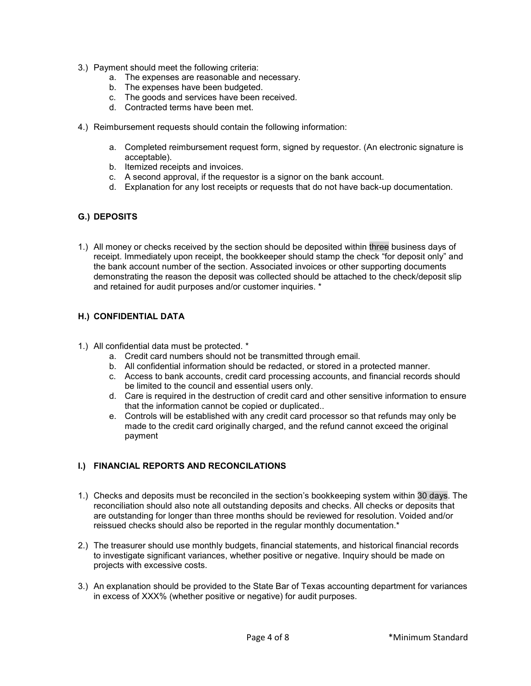- 3.) Payment should meet the following criteria:
	- a. The expenses are reasonable and necessary.
	- b. The expenses have been budgeted.
	- c. The goods and services have been received.
	- d. Contracted terms have been met.
- 4.) Reimbursement requests should contain the following information:
	- a. Completed reimbursement request form, signed by requestor. (An electronic signature is acceptable).
	- b. Itemized receipts and invoices.
	- c. A second approval, if the requestor is a signor on the bank account.
	- d. Explanation for any lost receipts or requests that do not have back-up documentation.

#### **G.) DEPOSITS**

1.) All money or checks received by the section should be deposited within three business days of receipt. Immediately upon receipt, the bookkeeper should stamp the check "for deposit only" and the bank account number of the section. Associated invoices or other supporting documents demonstrating the reason the deposit was collected should be attached to the check/deposit slip and retained for audit purposes and/or customer inquiries. \*

#### **H.) CONFIDENTIAL DATA**

- 1.) All confidential data must be protected. \*
	- a. Credit card numbers should not be transmitted through email.
	- b. All confidential information should be redacted, or stored in a protected manner.
	- c. Access to bank accounts, credit card processing accounts, and financial records should be limited to the council and essential users only.
	- d. Care is required in the destruction of credit card and other sensitive information to ensure that the information cannot be copied or duplicated..
	- e. Controls will be established with any credit card processor so that refunds may only be made to the credit card originally charged, and the refund cannot exceed the original payment

#### **I.) FINANCIAL REPORTS AND RECONCILATIONS**

- 1.) Checks and deposits must be reconciled in the section's bookkeeping system within 30 days. The reconciliation should also note all outstanding deposits and checks. All checks or deposits that are outstanding for longer than three months should be reviewed for resolution. Voided and/or reissued checks should also be reported in the regular monthly documentation.\*
- 2.) The treasurer should use monthly budgets, financial statements, and historical financial records to investigate significant variances, whether positive or negative. Inquiry should be made on projects with excessive costs.
- 3.) An explanation should be provided to the State Bar of Texas accounting department for variances in excess of XXX% (whether positive or negative) for audit purposes.